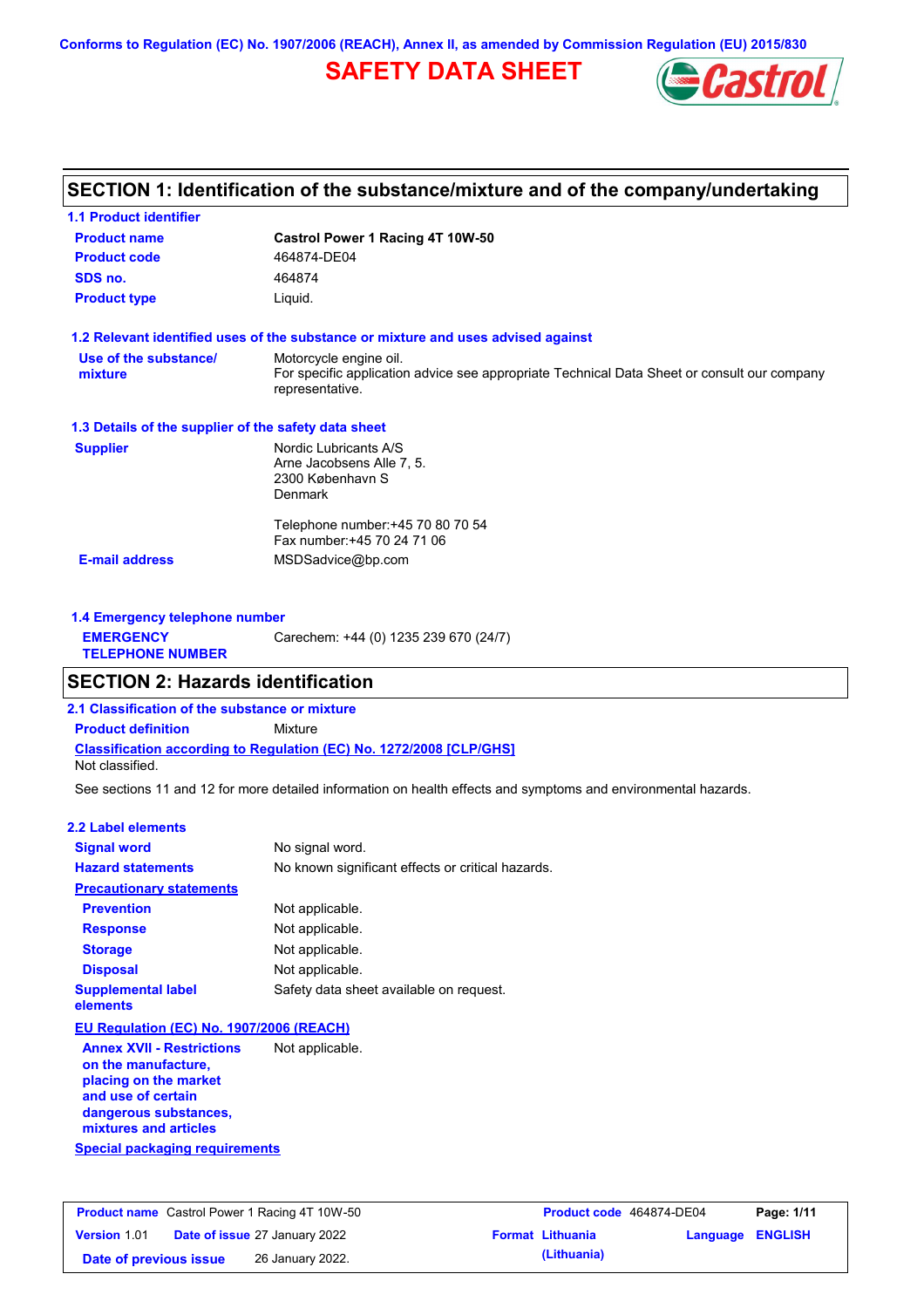**Conforms to Regulation (EC) No. 1907/2006 (REACH), Annex II, as amended by Commission Regulation (EU) 2015/830**

# **SAFETY DATA SHEET**



# **SECTION 1: Identification of the substance/mixture and of the company/undertaking**

| <b>Product name</b>                                  | Castrol Power 1 Racing 4T 10W-50                                                                                                         |
|------------------------------------------------------|------------------------------------------------------------------------------------------------------------------------------------------|
| <b>Product code</b>                                  | 464874-DE04                                                                                                                              |
| SDS no.                                              | 464874                                                                                                                                   |
| <b>Product type</b>                                  | Liquid.                                                                                                                                  |
|                                                      | 1.2 Relevant identified uses of the substance or mixture and uses advised against                                                        |
| Use of the substance/<br>mixture                     | Motorcycle engine oil.<br>For specific application advice see appropriate Technical Data Sheet or consult our company<br>representative. |
| 1.3 Details of the supplier of the safety data sheet |                                                                                                                                          |
| <b>Supplier</b>                                      | Nordic Lubricants A/S<br>Arne Jacobsens Alle 7, 5.<br>2300 København S<br><b>Denmark</b>                                                 |
|                                                      | Telephone number: +45 70 80 70 54<br>Fax number: +45 70 24 71 06                                                                         |
| <b>E-mail address</b>                                | MSDSadvice@bp.com                                                                                                                        |

| 1.4 Emergency telephone number              |                                       |
|---------------------------------------------|---------------------------------------|
| <b>EMERGENCY</b><br><b>TELEPHONE NUMBER</b> | Carechem: +44 (0) 1235 239 670 (24/7) |

# **SECTION 2: Hazards identification**

**2.1 Classification of the substance or mixture**

**Classification according to Regulation (EC) No. 1272/2008 [CLP/GHS] Product definition** Mixture

Not classified.

See sections 11 and 12 for more detailed information on health effects and symptoms and environmental hazards.

#### **2.2 Label elements**

| <b>Signal word</b>                       | No signal word.                                   |
|------------------------------------------|---------------------------------------------------|
| <b>Hazard statements</b>                 | No known significant effects or critical hazards. |
| <b>Precautionary statements</b>          |                                                   |
| <b>Prevention</b>                        | Not applicable.                                   |
| <b>Response</b>                          | Not applicable.                                   |
| <b>Storage</b>                           | Not applicable.                                   |
| <b>Disposal</b>                          | Not applicable.                                   |
| <b>Supplemental label</b><br>elements    | Safety data sheet available on request.           |
| EU Regulation (EC) No. 1907/2006 (REACH) |                                                   |
| <b>Annex XVII - Restrictions</b>         | Not applicable.                                   |

**Special packaging requirements on the manufacture, placing on the market and use of certain dangerous substances, mixtures and articles**

|                        | <b>Product name</b> Castrol Power 1 Racing 4T 10W-50 | Product code 464874-DE04 |                         | Page: 1/11 |
|------------------------|------------------------------------------------------|--------------------------|-------------------------|------------|
| <b>Version 1.01</b>    | <b>Date of issue 27 January 2022</b>                 | <b>Format Lithuania</b>  | <b>Language ENGLISH</b> |            |
| Date of previous issue | 26 January 2022.                                     | (Lithuania)              |                         |            |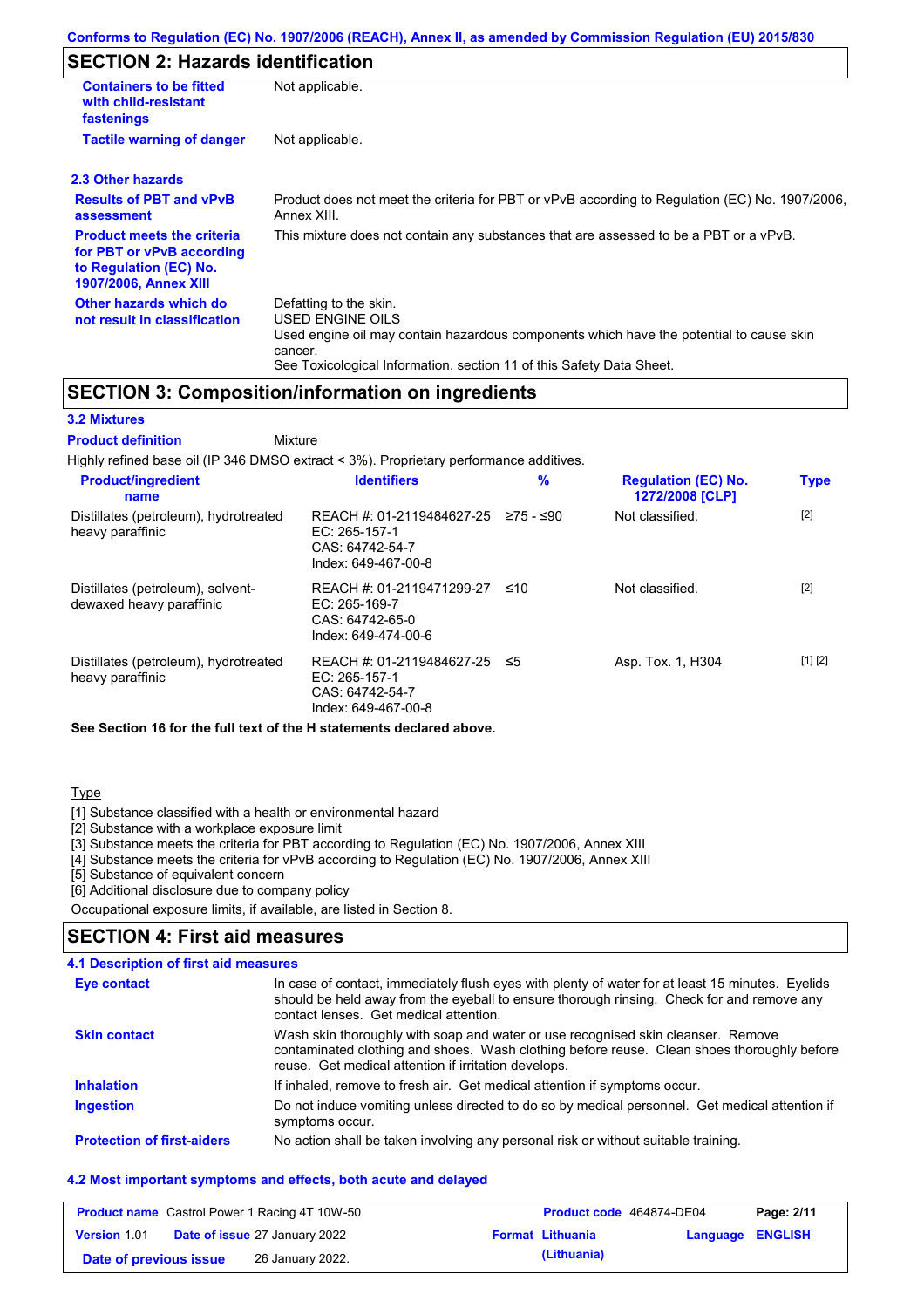### **SECTION 2: Hazards identification**

| <b>Containers to be fitted</b><br>with child-resistant<br>fastenings                                              | Not applicable.                                                                                                                                                                                                          |  |
|-------------------------------------------------------------------------------------------------------------------|--------------------------------------------------------------------------------------------------------------------------------------------------------------------------------------------------------------------------|--|
| <b>Tactile warning of danger</b><br>Not applicable.                                                               |                                                                                                                                                                                                                          |  |
| 2.3 Other hazards                                                                                                 |                                                                                                                                                                                                                          |  |
| <b>Results of PBT and vPvB</b><br>assessment                                                                      | Product does not meet the criteria for PBT or vPvB according to Regulation (EC) No. 1907/2006,<br>Annex XIII.                                                                                                            |  |
| <b>Product meets the criteria</b><br>for PBT or vPvB according<br>to Regulation (EC) No.<br>1907/2006, Annex XIII | This mixture does not contain any substances that are assessed to be a PBT or a vPvB.                                                                                                                                    |  |
| Other hazards which do<br>not result in classification                                                            | Defatting to the skin.<br>USED ENGINE OILS<br>Used engine oil may contain hazardous components which have the potential to cause skin<br>cancer.<br>See Toxicological Information, section 11 of this Safety Data Sheet. |  |

### **SECTION 3: Composition/information on ingredients**

#### **3.2 Mixtures**

Mixture **Product definition**

| Highly refined base oil (IP 346 DMSO extract < 3%). Proprietary performance additives. |                                                                                      |           |                                                      |             |
|----------------------------------------------------------------------------------------|--------------------------------------------------------------------------------------|-----------|------------------------------------------------------|-------------|
| <b>Product/ingredient</b><br>name                                                      | <b>Identifiers</b>                                                                   | $\%$      | <b>Regulation (EC) No.</b><br><b>1272/2008 [CLP]</b> | <b>Type</b> |
| Distillates (petroleum), hydrotreated<br>heavy paraffinic                              | REACH #: 01-2119484627-25<br>EC: 265-157-1<br>CAS: 64742-54-7<br>Index: 649-467-00-8 | 275 - ≤90 | Not classified.                                      | $[2]$       |
| Distillates (petroleum), solvent-<br>dewaxed heavy paraffinic                          | REACH #: 01-2119471299-27<br>EC: 265-169-7<br>CAS: 64742-65-0<br>Index: 649-474-00-6 | ≤10       | Not classified.                                      | $[2]$       |
| Distillates (petroleum), hydrotreated<br>heavy paraffinic                              | REACH #: 01-2119484627-25<br>EC: 265-157-1<br>CAS: 64742-54-7<br>Index: 649-467-00-8 | ≤5        | Asp. Tox. 1, H304                                    | [1] [2]     |

**See Section 16 for the full text of the H statements declared above.**

#### Type

[1] Substance classified with a health or environmental hazard

[2] Substance with a workplace exposure limit

[3] Substance meets the criteria for PBT according to Regulation (EC) No. 1907/2006, Annex XIII

[4] Substance meets the criteria for vPvB according to Regulation (EC) No. 1907/2006, Annex XIII

[5] Substance of equivalent concern

[6] Additional disclosure due to company policy

Occupational exposure limits, if available, are listed in Section 8.

### **SECTION 4: First aid measures**

#### **4.1 Description of first aid measures**

| Eye contact                       | In case of contact, immediately flush eyes with plenty of water for at least 15 minutes. Eyelids<br>should be held away from the eyeball to ensure thorough rinsing. Check for and remove any<br>contact lenses. Get medical attention. |
|-----------------------------------|-----------------------------------------------------------------------------------------------------------------------------------------------------------------------------------------------------------------------------------------|
| <b>Skin contact</b>               | Wash skin thoroughly with soap and water or use recognised skin cleanser. Remove<br>contaminated clothing and shoes. Wash clothing before reuse. Clean shoes thoroughly before<br>reuse. Get medical attention if irritation develops.  |
| <b>Inhalation</b>                 | If inhaled, remove to fresh air. Get medical attention if symptoms occur.                                                                                                                                                               |
| <b>Ingestion</b>                  | Do not induce vomiting unless directed to do so by medical personnel. Get medical attention if<br>symptoms occur.                                                                                                                       |
| <b>Protection of first-aiders</b> | No action shall be taken involving any personal risk or without suitable training.                                                                                                                                                      |

#### **4.2 Most important symptoms and effects, both acute and delayed**

|                        | <b>Product name</b> Castrol Power 1 Racing 4T 10W-50 | Product code 464874-DE04 |                  | Page: 2/11 |
|------------------------|------------------------------------------------------|--------------------------|------------------|------------|
| <b>Version 1.01</b>    | <b>Date of issue 27 January 2022</b>                 | <b>Format Lithuania</b>  | Language ENGLISH |            |
| Date of previous issue | 26 January 2022.                                     | (Lithuania)              |                  |            |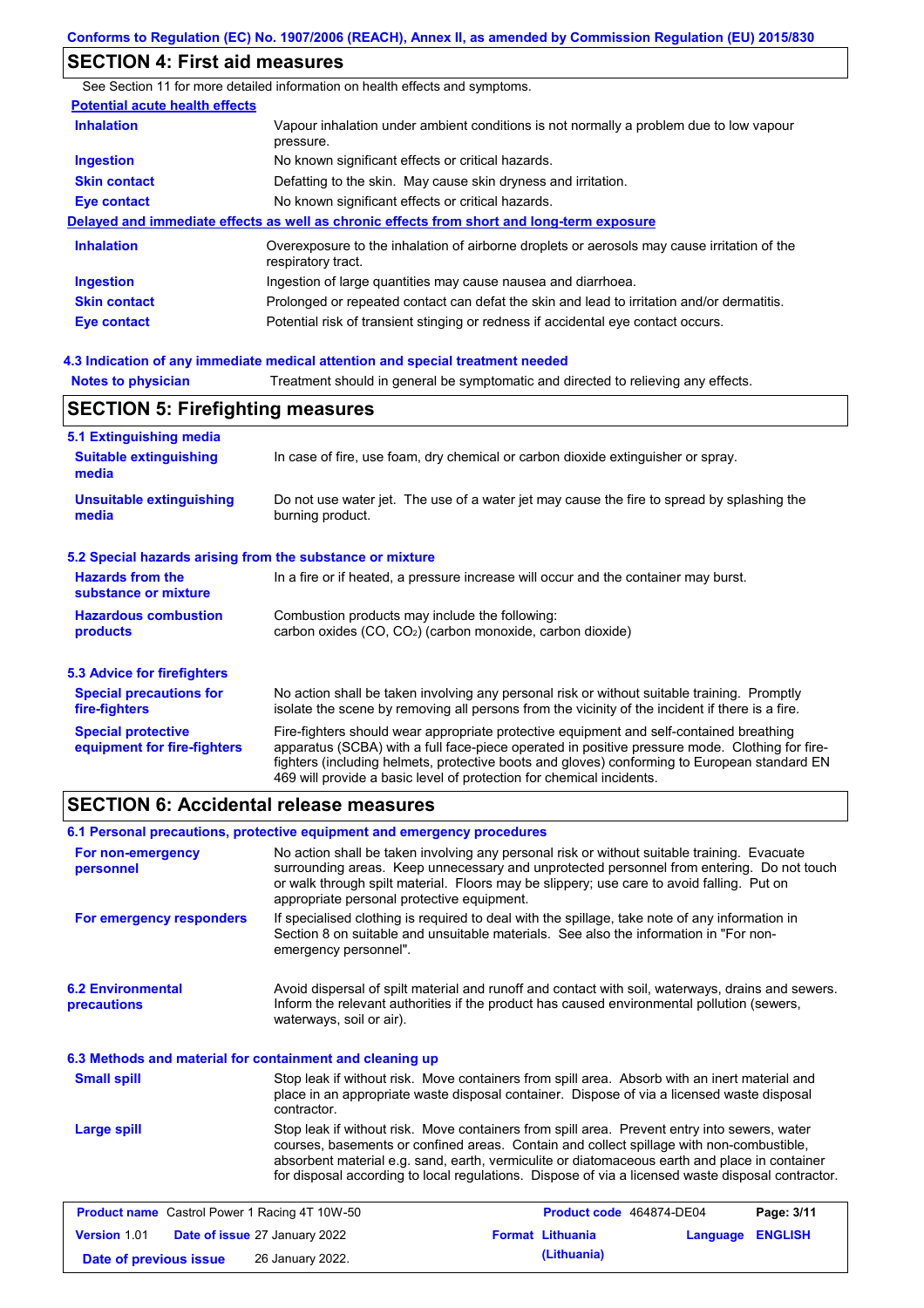## **SECTION 4: First aid measures**

**Notes to physician** Treatment should in general be symptomatic and directed to relieving any effects. **4.3 Indication of any immediate medical attention and special treatment needed** See Section 11 for more detailed information on health effects and symptoms. **Potential acute health effects Inhalation** Vapour inhalation under ambient conditions is not normally a problem due to low vapour pressure. **Ingestion** No known significant effects or critical hazards. **Skin contact** Defatting to the skin. May cause skin dryness and irritation. **Eye contact** No known significant effects or critical hazards. **Delayed and immediate effects as well as chronic effects from short and long-term exposure Inhalation Ingestion Skin contact Eye contact** Overexposure to the inhalation of airborne droplets or aerosols may cause irritation of the respiratory tract. Ingestion of large quantities may cause nausea and diarrhoea. Prolonged or repeated contact can defat the skin and lead to irritation and/or dermatitis. Potential risk of transient stinging or redness if accidental eye contact occurs.

| <b>SECTION 5: Firefighting measures</b>                   |                                                                                                                                                                                                                                                                                                                                                                   |  |  |
|-----------------------------------------------------------|-------------------------------------------------------------------------------------------------------------------------------------------------------------------------------------------------------------------------------------------------------------------------------------------------------------------------------------------------------------------|--|--|
| 5.1 Extinguishing media                                   |                                                                                                                                                                                                                                                                                                                                                                   |  |  |
| <b>Suitable extinguishing</b><br>media                    | In case of fire, use foam, dry chemical or carbon dioxide extinguisher or spray.                                                                                                                                                                                                                                                                                  |  |  |
| <b>Unsuitable extinguishing</b><br>media                  | Do not use water jet. The use of a water jet may cause the fire to spread by splashing the<br>burning product.                                                                                                                                                                                                                                                    |  |  |
| 5.2 Special hazards arising from the substance or mixture |                                                                                                                                                                                                                                                                                                                                                                   |  |  |
| <b>Hazards from the</b><br>substance or mixture           | In a fire or if heated, a pressure increase will occur and the container may burst.                                                                                                                                                                                                                                                                               |  |  |
| <b>Hazardous combustion</b><br>products                   | Combustion products may include the following:<br>carbon oxides (CO, CO <sub>2</sub> ) (carbon monoxide, carbon dioxide)                                                                                                                                                                                                                                          |  |  |
| 5.3 Advice for firefighters                               |                                                                                                                                                                                                                                                                                                                                                                   |  |  |
| <b>Special precautions for</b><br>fire-fighters           | No action shall be taken involving any personal risk or without suitable training. Promptly<br>isolate the scene by removing all persons from the vicinity of the incident if there is a fire.                                                                                                                                                                    |  |  |
| <b>Special protective</b><br>equipment for fire-fighters  | Fire-fighters should wear appropriate protective equipment and self-contained breathing<br>apparatus (SCBA) with a full face-piece operated in positive pressure mode. Clothing for fire-<br>fighters (including helmets, protective boots and gloves) conforming to European standard EN<br>469 will provide a basic level of protection for chemical incidents. |  |  |

# **SECTION 6: Accidental release measures**

| 6.1 Personal precautions, protective equipment and emergency procedures |                                            |                                                                                                                                                                                                                                                                                                                                                                                                |                  |            |
|-------------------------------------------------------------------------|--------------------------------------------|------------------------------------------------------------------------------------------------------------------------------------------------------------------------------------------------------------------------------------------------------------------------------------------------------------------------------------------------------------------------------------------------|------------------|------------|
| For non-emergency<br>personnel                                          | appropriate personal protective equipment. | No action shall be taken involving any personal risk or without suitable training. Evacuate<br>surrounding areas. Keep unnecessary and unprotected personnel from entering. Do not touch<br>or walk through spilt material. Floors may be slippery; use care to avoid falling. Put on                                                                                                          |                  |            |
| For emergency responders                                                | emergency personnel".                      | If specialised clothing is required to deal with the spillage, take note of any information in<br>Section 8 on suitable and unsuitable materials. See also the information in "For non-                                                                                                                                                                                                        |                  |            |
| <b>6.2 Environmental</b><br>precautions                                 | waterways, soil or air).                   | Avoid dispersal of spilt material and runoff and contact with soil, waterways, drains and sewers.<br>Inform the relevant authorities if the product has caused environmental pollution (sewers,                                                                                                                                                                                                |                  |            |
| 6.3 Methods and material for containment and cleaning up                |                                            |                                                                                                                                                                                                                                                                                                                                                                                                |                  |            |
| <b>Small spill</b>                                                      | contractor.                                | Stop leak if without risk. Move containers from spill area. Absorb with an inert material and<br>place in an appropriate waste disposal container. Dispose of via a licensed waste disposal                                                                                                                                                                                                    |                  |            |
| <b>Large spill</b>                                                      |                                            | Stop leak if without risk. Move containers from spill area. Prevent entry into sewers, water<br>courses, basements or confined areas. Contain and collect spillage with non-combustible,<br>absorbent material e.g. sand, earth, vermiculite or diatomaceous earth and place in container<br>for disposal according to local regulations. Dispose of via a licensed waste disposal contractor. |                  |            |
| <b>Product name</b> Castrol Power 1 Racing 4T 10W-50                    |                                            | Product code 464874-DE04                                                                                                                                                                                                                                                                                                                                                                       |                  | Page: 3/11 |
| <b>Version 1.01</b>                                                     | Date of issue 27 January 2022              | <b>Format Lithuania</b>                                                                                                                                                                                                                                                                                                                                                                        | Language ENGLISH |            |

**Date of previous issue (Lithuania)** 26 January 2022.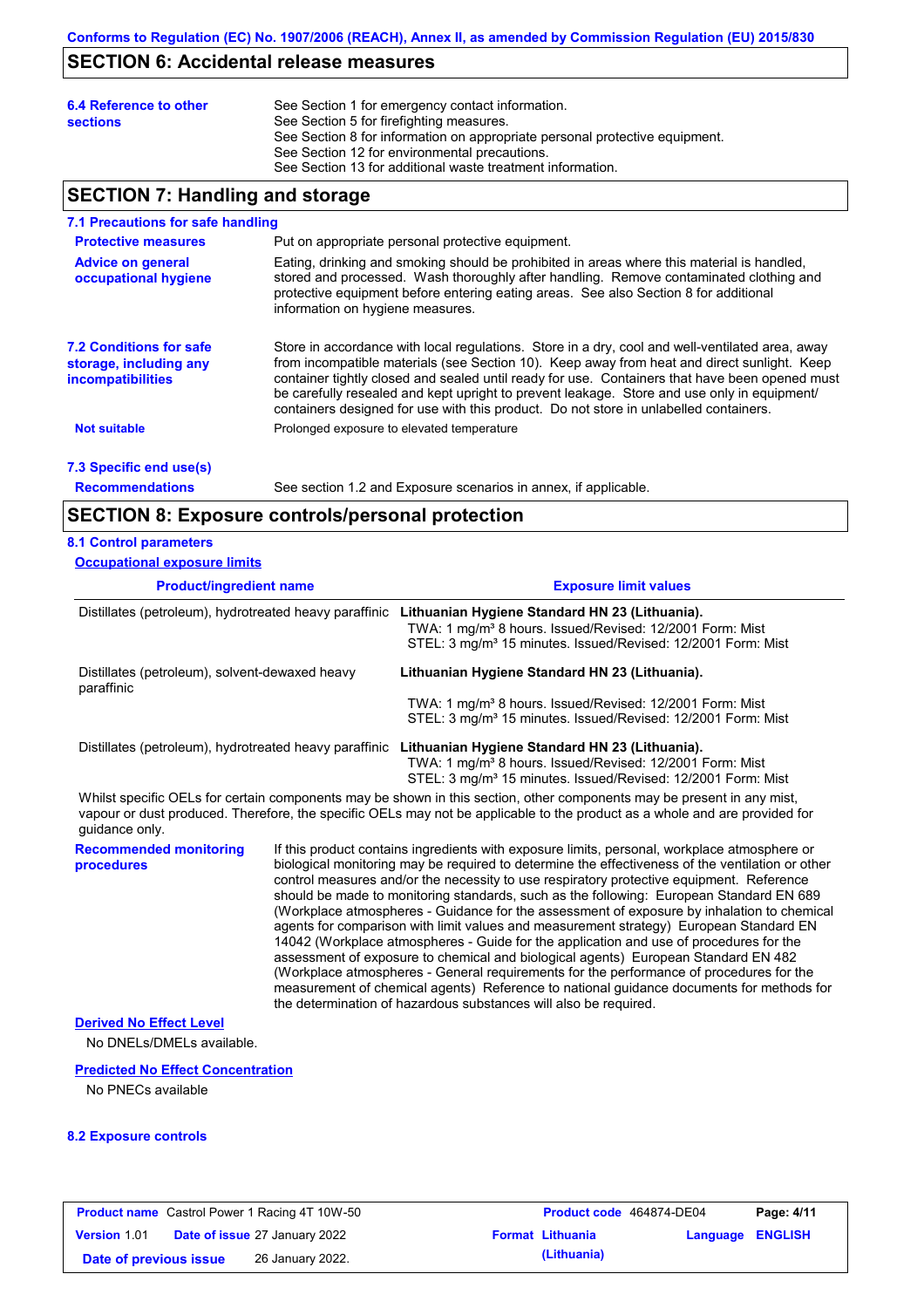### **SECTION 6: Accidental release measures**

| 6.4 Reference to other<br><b>sections</b> | See Section 1 for emergency contact information.<br>See Section 5 for firefighting measures.<br>See Section 8 for information on appropriate personal protective equipment.<br>See Section 12 for environmental precautions. |
|-------------------------------------------|------------------------------------------------------------------------------------------------------------------------------------------------------------------------------------------------------------------------------|
|                                           | See Section 13 for additional waste treatment information.                                                                                                                                                                   |

# **SECTION 7: Handling and storage**

#### **7.1 Precautions for safe handling**

| <b>Protective measures</b>                                                           | Put on appropriate personal protective equipment.                                                                                                                                                                                                                                                                                                                                                                                                                                        |
|--------------------------------------------------------------------------------------|------------------------------------------------------------------------------------------------------------------------------------------------------------------------------------------------------------------------------------------------------------------------------------------------------------------------------------------------------------------------------------------------------------------------------------------------------------------------------------------|
| <b>Advice on general</b><br>occupational hygiene                                     | Eating, drinking and smoking should be prohibited in areas where this material is handled,<br>stored and processed. Wash thoroughly after handling. Remove contaminated clothing and<br>protective equipment before entering eating areas. See also Section 8 for additional<br>information on hygiene measures.                                                                                                                                                                         |
| <b>7.2 Conditions for safe</b><br>storage, including any<br><i>incompatibilities</i> | Store in accordance with local regulations. Store in a dry, cool and well-ventilated area, away<br>from incompatible materials (see Section 10). Keep away from heat and direct sunlight. Keep<br>container tightly closed and sealed until ready for use. Containers that have been opened must<br>be carefully resealed and kept upright to prevent leakage. Store and use only in equipment/<br>containers designed for use with this product. Do not store in unlabelled containers. |
| <b>Not suitable</b>                                                                  | Prolonged exposure to elevated temperature                                                                                                                                                                                                                                                                                                                                                                                                                                               |
|                                                                                      |                                                                                                                                                                                                                                                                                                                                                                                                                                                                                          |

# **7.3 Specific end use(s)**

**Recommendations**

See section 1.2 and Exposure scenarios in annex, if applicable.

# **SECTION 8: Exposure controls/personal protection**

### **8.1 Control parameters**

| <b>Occupational exposure limits</b>                          |                                                                                                                                                                                                    |
|--------------------------------------------------------------|----------------------------------------------------------------------------------------------------------------------------------------------------------------------------------------------------|
| <b>Product/ingredient name</b>                               | <b>Exposure limit values</b>                                                                                                                                                                       |
| Distillates (petroleum), hydrotreated heavy paraffinic       | Lithuanian Hygiene Standard HN 23 (Lithuania).<br>TWA: 1 mg/m <sup>3</sup> 8 hours. Issued/Revised: 12/2001 Form: Mist<br>STEL: 3 mg/m <sup>3</sup> 15 minutes. Issued/Revised: 12/2001 Form: Mist |
| Distillates (petroleum), solvent-dewaxed heavy<br>paraffinic | Lithuanian Hygiene Standard HN 23 (Lithuania).                                                                                                                                                     |
|                                                              | TWA: 1 mg/m <sup>3</sup> 8 hours. Issued/Revised: 12/2001 Form: Mist<br>STEL: 3 mg/m <sup>3</sup> 15 minutes. Issued/Revised: 12/2001 Form: Mist                                                   |
| Distillates (petroleum), hydrotreated heavy paraffinic       | Lithuanian Hygiene Standard HN 23 (Lithuania).<br>$T11A \cdot 1$ malm <sup>3</sup> 8 hours loouad Dovised: 19/9001 Ferm: Mist                                                                      |

 TWA: 1 mg/m³ 8 hours. Issued/Revised: 12/2001 Form: Mist STEL: 3 mg/m<sup>3</sup> 15 minutes. Issued/Revised: 12/2001 Form: Mist

Whilst specific OELs for certain components may be shown in this section, other components may be present in any mist, vapour or dust produced. Therefore, the specific OELs may not be applicable to the product as a whole and are provided for guidance only.

**Recommended monitoring procedures**

If this product contains ingredients with exposure limits, personal, workplace atmosphere or biological monitoring may be required to determine the effectiveness of the ventilation or other control measures and/or the necessity to use respiratory protective equipment. Reference should be made to monitoring standards, such as the following: European Standard EN 689 (Workplace atmospheres - Guidance for the assessment of exposure by inhalation to chemical agents for comparison with limit values and measurement strategy) European Standard EN 14042 (Workplace atmospheres - Guide for the application and use of procedures for the assessment of exposure to chemical and biological agents) European Standard EN 482 (Workplace atmospheres - General requirements for the performance of procedures for the measurement of chemical agents) Reference to national guidance documents for methods for the determination of hazardous substances will also be required.

#### **Derived No Effect Level**

No DNELs/DMELs available.

#### **Predicted No Effect Concentration**

No PNECs available

#### **8.2 Exposure controls**

|                        | <b>Product name</b> Castrol Power 1 Racing 4T 10W-50 | Product code 464874-DE04 |                  | Page: 4/11 |
|------------------------|------------------------------------------------------|--------------------------|------------------|------------|
| <b>Version 1.01</b>    | <b>Date of issue 27 January 2022</b>                 | <b>Format Lithuania</b>  | Language ENGLISH |            |
| Date of previous issue | 26 January 2022.                                     | (Lithuania)              |                  |            |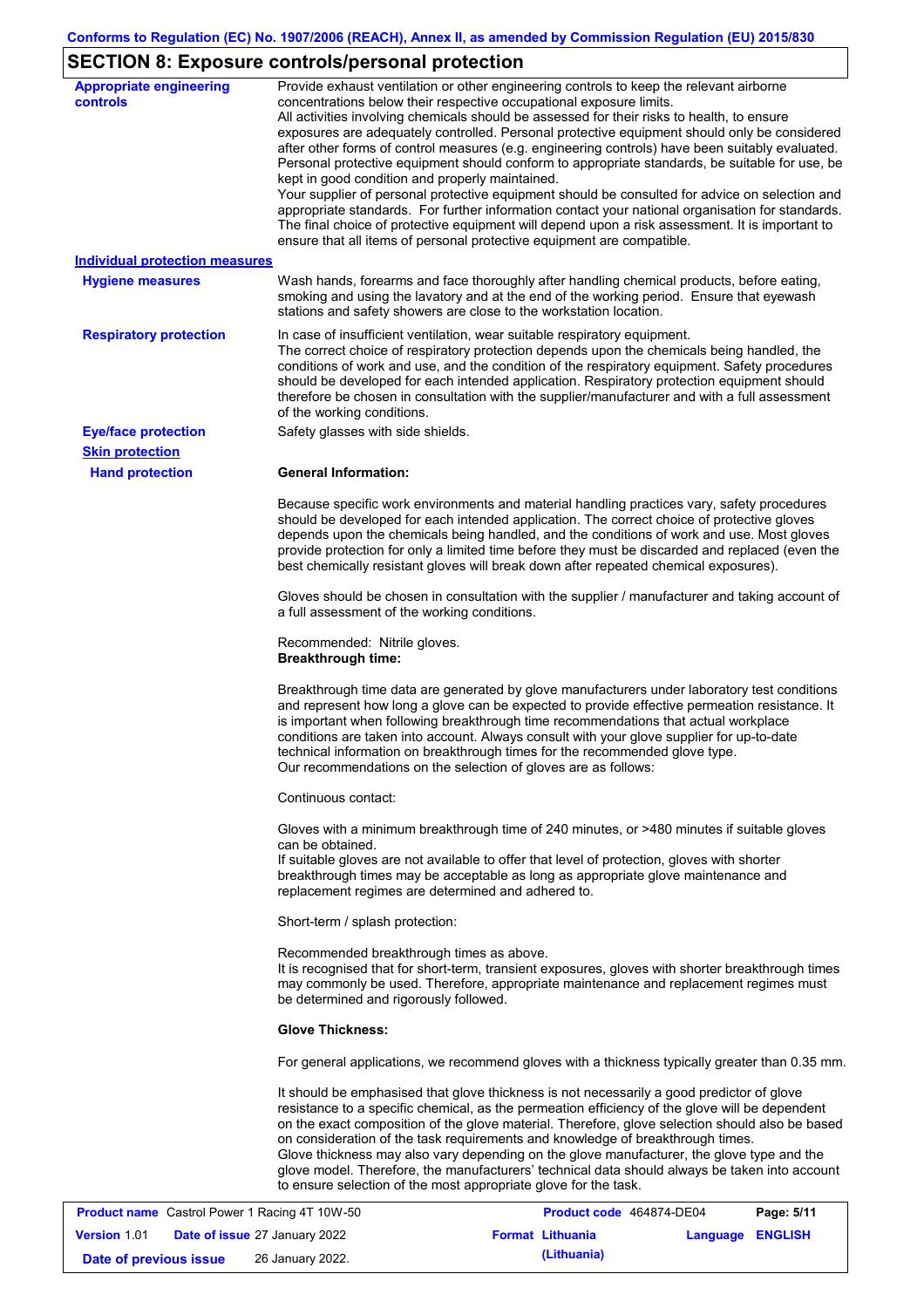# **SECTION 8: Exposure controls/personal protection**

| <b>Appropriate engineering</b><br>controls | Provide exhaust ventilation or other engineering controls to keep the relevant airborne<br>concentrations below their respective occupational exposure limits.<br>All activities involving chemicals should be assessed for their risks to health, to ensure<br>exposures are adequately controlled. Personal protective equipment should only be considered<br>after other forms of control measures (e.g. engineering controls) have been suitably evaluated.<br>Personal protective equipment should conform to appropriate standards, be suitable for use, be<br>kept in good condition and properly maintained.<br>Your supplier of personal protective equipment should be consulted for advice on selection and<br>appropriate standards. For further information contact your national organisation for standards.<br>The final choice of protective equipment will depend upon a risk assessment. It is important to<br>ensure that all items of personal protective equipment are compatible. |
|--------------------------------------------|---------------------------------------------------------------------------------------------------------------------------------------------------------------------------------------------------------------------------------------------------------------------------------------------------------------------------------------------------------------------------------------------------------------------------------------------------------------------------------------------------------------------------------------------------------------------------------------------------------------------------------------------------------------------------------------------------------------------------------------------------------------------------------------------------------------------------------------------------------------------------------------------------------------------------------------------------------------------------------------------------------|
| <b>Individual protection measures</b>      |                                                                                                                                                                                                                                                                                                                                                                                                                                                                                                                                                                                                                                                                                                                                                                                                                                                                                                                                                                                                         |
| <b>Hygiene measures</b>                    | Wash hands, forearms and face thoroughly after handling chemical products, before eating,<br>smoking and using the lavatory and at the end of the working period. Ensure that eyewash<br>stations and safety showers are close to the workstation location.                                                                                                                                                                                                                                                                                                                                                                                                                                                                                                                                                                                                                                                                                                                                             |
| <b>Respiratory protection</b>              | In case of insufficient ventilation, wear suitable respiratory equipment.<br>The correct choice of respiratory protection depends upon the chemicals being handled, the<br>conditions of work and use, and the condition of the respiratory equipment. Safety procedures<br>should be developed for each intended application. Respiratory protection equipment should<br>therefore be chosen in consultation with the supplier/manufacturer and with a full assessment<br>of the working conditions.                                                                                                                                                                                                                                                                                                                                                                                                                                                                                                   |
| <b>Eye/face protection</b>                 | Safety glasses with side shields.                                                                                                                                                                                                                                                                                                                                                                                                                                                                                                                                                                                                                                                                                                                                                                                                                                                                                                                                                                       |
| <b>Skin protection</b>                     |                                                                                                                                                                                                                                                                                                                                                                                                                                                                                                                                                                                                                                                                                                                                                                                                                                                                                                                                                                                                         |
| <b>Hand protection</b>                     | <b>General Information:</b>                                                                                                                                                                                                                                                                                                                                                                                                                                                                                                                                                                                                                                                                                                                                                                                                                                                                                                                                                                             |
|                                            | Because specific work environments and material handling practices vary, safety procedures<br>should be developed for each intended application. The correct choice of protective gloves<br>depends upon the chemicals being handled, and the conditions of work and use. Most gloves<br>provide protection for only a limited time before they must be discarded and replaced (even the<br>best chemically resistant gloves will break down after repeated chemical exposures).                                                                                                                                                                                                                                                                                                                                                                                                                                                                                                                        |
|                                            | Gloves should be chosen in consultation with the supplier / manufacturer and taking account of<br>a full assessment of the working conditions.                                                                                                                                                                                                                                                                                                                                                                                                                                                                                                                                                                                                                                                                                                                                                                                                                                                          |
|                                            | Recommended: Nitrile gloves.<br><b>Breakthrough time:</b>                                                                                                                                                                                                                                                                                                                                                                                                                                                                                                                                                                                                                                                                                                                                                                                                                                                                                                                                               |
|                                            | Breakthrough time data are generated by glove manufacturers under laboratory test conditions<br>and represent how long a glove can be expected to provide effective permeation resistance. It<br>is important when following breakthrough time recommendations that actual workplace<br>conditions are taken into account. Always consult with your glove supplier for up-to-date<br>technical information on breakthrough times for the recommended glove type.<br>Our recommendations on the selection of gloves are as follows:                                                                                                                                                                                                                                                                                                                                                                                                                                                                      |
|                                            | Continuous contact:                                                                                                                                                                                                                                                                                                                                                                                                                                                                                                                                                                                                                                                                                                                                                                                                                                                                                                                                                                                     |
|                                            | Gloves with a minimum breakthrough time of 240 minutes, or >480 minutes if suitable gloves<br>can be obtained.<br>If suitable gloves are not available to offer that level of protection, gloves with shorter<br>breakthrough times may be acceptable as long as appropriate glove maintenance and<br>replacement regimes are determined and adhered to.                                                                                                                                                                                                                                                                                                                                                                                                                                                                                                                                                                                                                                                |
|                                            | Short-term / splash protection:                                                                                                                                                                                                                                                                                                                                                                                                                                                                                                                                                                                                                                                                                                                                                                                                                                                                                                                                                                         |
|                                            | Recommended breakthrough times as above.<br>It is recognised that for short-term, transient exposures, gloves with shorter breakthrough times<br>may commonly be used. Therefore, appropriate maintenance and replacement regimes must<br>be determined and rigorously followed.                                                                                                                                                                                                                                                                                                                                                                                                                                                                                                                                                                                                                                                                                                                        |
|                                            | <b>Glove Thickness:</b>                                                                                                                                                                                                                                                                                                                                                                                                                                                                                                                                                                                                                                                                                                                                                                                                                                                                                                                                                                                 |
|                                            | For general applications, we recommend gloves with a thickness typically greater than 0.35 mm.                                                                                                                                                                                                                                                                                                                                                                                                                                                                                                                                                                                                                                                                                                                                                                                                                                                                                                          |
|                                            | It should be emphasised that glove thickness is not necessarily a good predictor of glove<br>resistance to a specific chemical, as the permeation efficiency of the glove will be dependent<br>on the exact composition of the glove material. Therefore, glove selection should also be based<br>on consideration of the task requirements and knowledge of breakthrough times.<br>Glove thickness may also vary depending on the glove manufacturer, the glove type and the<br>glove model. Therefore, the manufacturers' technical data should always be taken into account<br>to ensure selection of the most appropriate glove for the task.                                                                                                                                                                                                                                                                                                                                                       |
| Coetrol Dower 1 Poeing 4T 1014 50          | Dao: E/44<br><b>Droduct code</b> 464974 DE04                                                                                                                                                                                                                                                                                                                                                                                                                                                                                                                                                                                                                                                                                                                                                                                                                                                                                                                                                            |

|                        | <b>Product name</b> Castrol Power 1 Racing 4T 10W-50 | Product code 464874-DE04 |                         | Page: 5/11 |
|------------------------|------------------------------------------------------|--------------------------|-------------------------|------------|
| <b>Version 1.01</b>    | <b>Date of issue 27 January 2022</b>                 | <b>Format Lithuania</b>  | <b>Language ENGLISH</b> |            |
| Date of previous issue | 26 January 2022.                                     | (Lithuania)              |                         |            |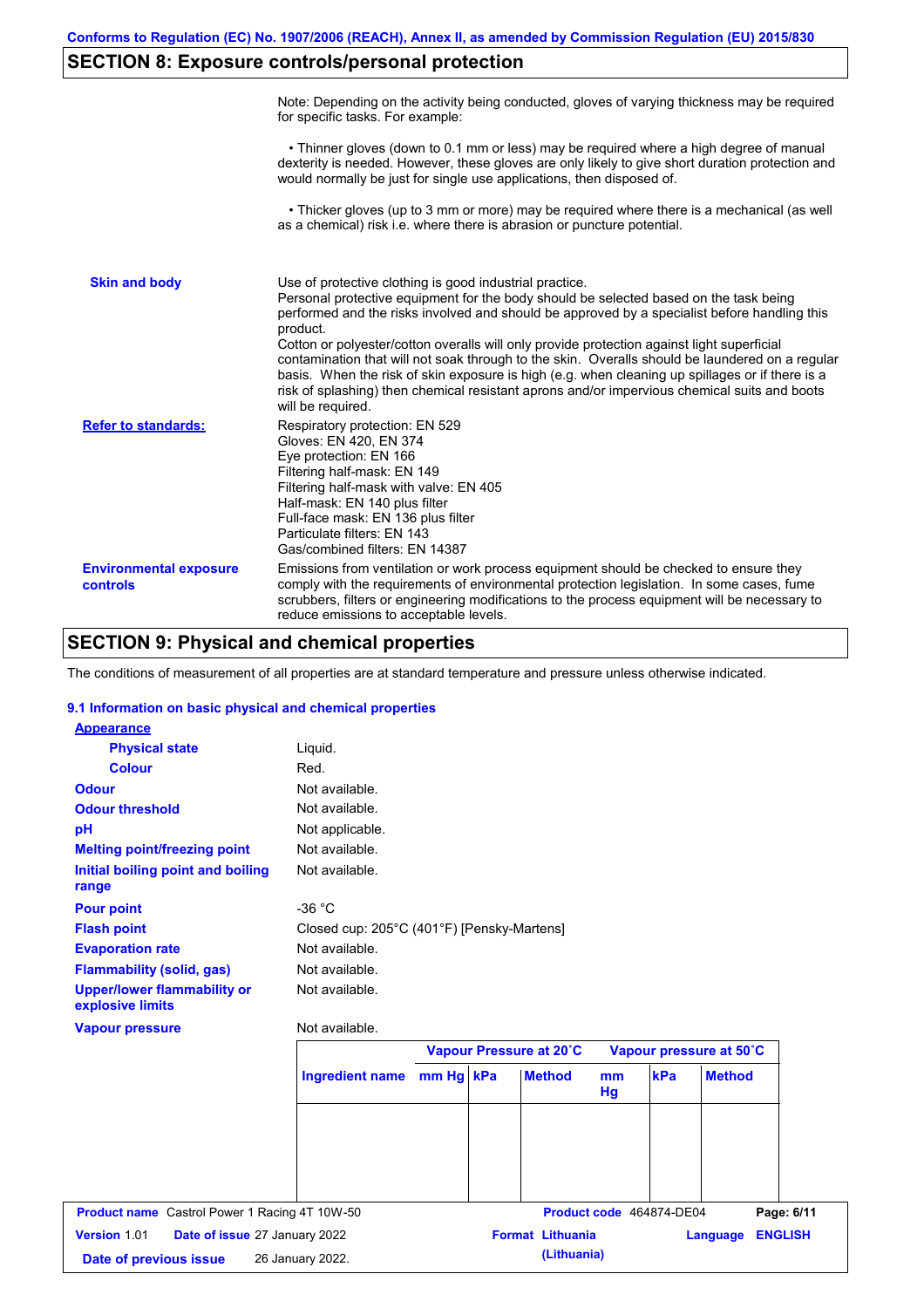# **SECTION 8: Exposure controls/personal protection**

|                                           | Note: Depending on the activity being conducted, gloves of varying thickness may be required<br>for specific tasks. For example:                                                                                                                                                                                                                                                                                                                                                                                                                                                                                                                                                      |
|-------------------------------------------|---------------------------------------------------------------------------------------------------------------------------------------------------------------------------------------------------------------------------------------------------------------------------------------------------------------------------------------------------------------------------------------------------------------------------------------------------------------------------------------------------------------------------------------------------------------------------------------------------------------------------------------------------------------------------------------|
|                                           | • Thinner gloves (down to 0.1 mm or less) may be required where a high degree of manual<br>dexterity is needed. However, these gloves are only likely to give short duration protection and<br>would normally be just for single use applications, then disposed of.                                                                                                                                                                                                                                                                                                                                                                                                                  |
|                                           | • Thicker gloves (up to 3 mm or more) may be required where there is a mechanical (as well<br>as a chemical) risk i.e. where there is abrasion or puncture potential.                                                                                                                                                                                                                                                                                                                                                                                                                                                                                                                 |
| <b>Skin and body</b>                      | Use of protective clothing is good industrial practice.<br>Personal protective equipment for the body should be selected based on the task being<br>performed and the risks involved and should be approved by a specialist before handling this<br>product.<br>Cotton or polyester/cotton overalls will only provide protection against light superficial<br>contamination that will not soak through to the skin. Overalls should be laundered on a regular<br>basis. When the risk of skin exposure is high (e.g. when cleaning up spillages or if there is a<br>risk of splashing) then chemical resistant aprons and/or impervious chemical suits and boots<br>will be required. |
| <b>Refer to standards:</b>                | Respiratory protection: EN 529<br>Gloves: EN 420, EN 374<br>Eye protection: EN 166<br>Filtering half-mask: EN 149<br>Filtering half-mask with valve: EN 405<br>Half-mask: EN 140 plus filter<br>Full-face mask: EN 136 plus filter<br>Particulate filters: EN 143<br>Gas/combined filters: EN 14387                                                                                                                                                                                                                                                                                                                                                                                   |
| <b>Environmental exposure</b><br>controls | Emissions from ventilation or work process equipment should be checked to ensure they<br>comply with the requirements of environmental protection legislation. In some cases, fume<br>scrubbers, filters or engineering modifications to the process equipment will be necessary to<br>reduce emissions to acceptable levels.                                                                                                                                                                                                                                                                                                                                                         |

# **SECTION 9: Physical and chemical properties**

The conditions of measurement of all properties are at standard temperature and pressure unless otherwise indicated.

### **9.1 Information on basic physical and chemical properties**

| <b>Appearance</b>                                      |                                            |           |                         |                      |                          |                            |
|--------------------------------------------------------|--------------------------------------------|-----------|-------------------------|----------------------|--------------------------|----------------------------|
| <b>Physical state</b>                                  | Liquid.                                    |           |                         |                      |                          |                            |
| <b>Colour</b>                                          | Red.                                       |           |                         |                      |                          |                            |
| <b>Odour</b>                                           | Not available.                             |           |                         |                      |                          |                            |
| <b>Odour threshold</b>                                 | Not available.                             |           |                         |                      |                          |                            |
| pH                                                     | Not applicable.                            |           |                         |                      |                          |                            |
| <b>Melting point/freezing point</b>                    | Not available.                             |           |                         |                      |                          |                            |
| Initial boiling point and boiling<br>range             | Not available.                             |           |                         |                      |                          |                            |
| <b>Pour point</b>                                      | $-36 °C$                                   |           |                         |                      |                          |                            |
| <b>Flash point</b>                                     | Closed cup: 205°C (401°F) [Pensky-Martens] |           |                         |                      |                          |                            |
| <b>Evaporation rate</b>                                | Not available.                             |           |                         |                      |                          |                            |
| <b>Flammability (solid, gas)</b>                       | Not available.                             |           |                         |                      |                          |                            |
| <b>Upper/lower flammability or</b><br>explosive limits | Not available.                             |           |                         |                      |                          |                            |
| <b>Vapour pressure</b>                                 | Not available.                             |           |                         |                      |                          |                            |
|                                                        |                                            |           | Vapour Pressure at 20°C |                      |                          | Vapour pressure at 50°C    |
|                                                        | <b>Ingredient name</b>                     | mm Hg kPa | <b>Method</b>           | m <sub>m</sub><br>Hg | kPa                      | <b>Method</b>              |
|                                                        |                                            |           |                         |                      |                          |                            |
|                                                        |                                            |           |                         |                      |                          |                            |
|                                                        |                                            |           |                         |                      |                          |                            |
|                                                        |                                            |           |                         |                      |                          |                            |
| <b>Product name</b> Castrol Power 1 Racing 4T 10W-50   |                                            |           |                         |                      | Product code 464874-DE04 | Page: 6/11                 |
| Version 1.01<br>Date of issue 27 January 2022          |                                            |           | <b>Format Lithuania</b> |                      |                          | <b>ENGLISH</b><br>Language |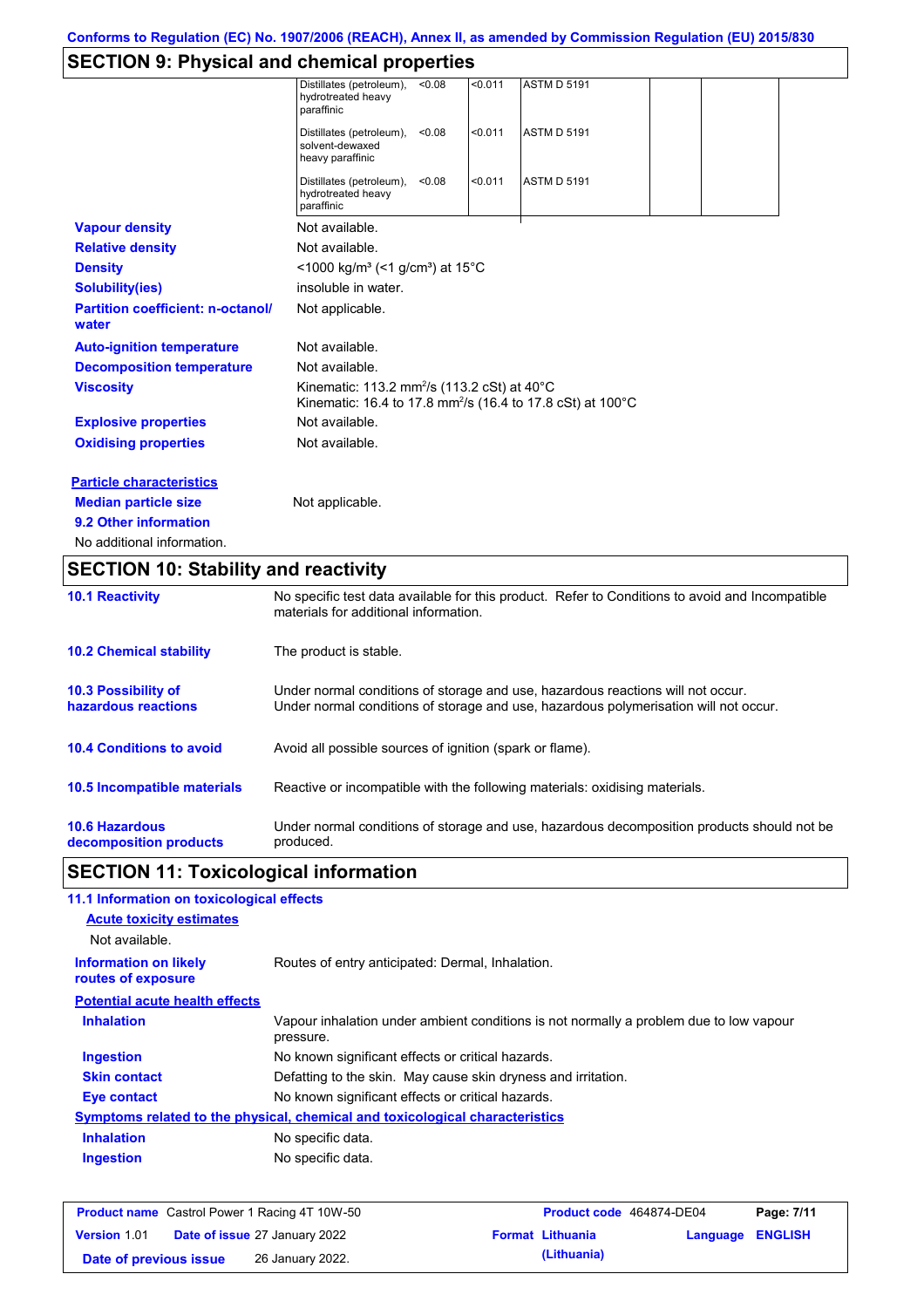# **SECTION 9: Physical and chemical properties**

|                                                   | Distillates (petroleum),<br>hydrotreated heavy<br>paraffinic                                                                             | < 0.08 | < 0.011 | <b>ASTM D 5191</b> |  |  |
|---------------------------------------------------|------------------------------------------------------------------------------------------------------------------------------------------|--------|---------|--------------------|--|--|
|                                                   | Distillates (petroleum),<br>solvent-dewaxed<br>heavy paraffinic                                                                          | < 0.08 | < 0.011 | <b>ASTM D 5191</b> |  |  |
|                                                   | Distillates (petroleum),<br>hydrotreated heavy<br>paraffinic                                                                             | < 0.08 | < 0.011 | <b>ASTM D 5191</b> |  |  |
| <b>Vapour density</b>                             | Not available.                                                                                                                           |        |         |                    |  |  |
| <b>Relative density</b>                           | Not available.                                                                                                                           |        |         |                    |  |  |
| <b>Density</b>                                    | $<$ 1000 kg/m <sup>3</sup> (<1 g/cm <sup>3</sup> ) at 15 <sup>°</sup> C                                                                  |        |         |                    |  |  |
| <b>Solubility(ies)</b>                            | insoluble in water.                                                                                                                      |        |         |                    |  |  |
| <b>Partition coefficient: n-octanol/</b><br>water | Not applicable.                                                                                                                          |        |         |                    |  |  |
| <b>Auto-ignition temperature</b>                  | Not available.                                                                                                                           |        |         |                    |  |  |
| <b>Decomposition temperature</b>                  | Not available.                                                                                                                           |        |         |                    |  |  |
| <b>Viscosity</b>                                  | Kinematic: 113.2 mm <sup>2</sup> /s (113.2 cSt) at 40°C<br>Kinematic: 16.4 to 17.8 mm <sup>2</sup> /s (16.4 to 17.8 cSt) at 100°C        |        |         |                    |  |  |
| <b>Explosive properties</b>                       | Not available.                                                                                                                           |        |         |                    |  |  |
| <b>Oxidising properties</b>                       | Not available.                                                                                                                           |        |         |                    |  |  |
| <b>Particle characteristics</b>                   |                                                                                                                                          |        |         |                    |  |  |
| <b>Median particle size</b>                       | Not applicable.                                                                                                                          |        |         |                    |  |  |
| 9.2 Other information                             |                                                                                                                                          |        |         |                    |  |  |
| No additional information.                        |                                                                                                                                          |        |         |                    |  |  |
| <b>SECTION 10: Stability and reactivity</b>       |                                                                                                                                          |        |         |                    |  |  |
| <b>10.1 Reactivity</b>                            | No specific test data available for this product. Refer to Conditions to avoid and Incompatible<br>materials for additional information. |        |         |                    |  |  |
| <b>10.2 Chemical stability</b>                    | The product is stable.                                                                                                                   |        |         |                    |  |  |

| <b>10.3 Possibility of</b>         | Under normal conditions of storage and use, hazardous reactions will not occur.            |
|------------------------------------|--------------------------------------------------------------------------------------------|
| hazardous reactions                | Under normal conditions of storage and use, hazardous polymerisation will not occur.       |
| <b>10.4 Conditions to avoid</b>    | Avoid all possible sources of ignition (spark or flame).                                   |
| <b>10.5 Incompatible materials</b> | Reactive or incompatible with the following materials: oxidising materials.                |
| <b>10.6 Hazardous</b>              | Under normal conditions of storage and use, hazardous decomposition products should not be |
| decomposition products             | produced.                                                                                  |

# **SECTION 11: Toxicological information**

| 11.1 Information on toxicological effects          |                                                                                                     |
|----------------------------------------------------|-----------------------------------------------------------------------------------------------------|
| <b>Acute toxicity estimates</b>                    |                                                                                                     |
| Not available.                                     |                                                                                                     |
| <b>Information on likely</b><br>routes of exposure | Routes of entry anticipated: Dermal, Inhalation.                                                    |
| <b>Potential acute health effects</b>              |                                                                                                     |
| <b>Inhalation</b>                                  | Vapour inhalation under ambient conditions is not normally a problem due to low vapour<br>pressure. |
| <b>Ingestion</b>                                   | No known significant effects or critical hazards.                                                   |
| <b>Skin contact</b>                                | Defatting to the skin. May cause skin dryness and irritation.                                       |
| Eye contact                                        | No known significant effects or critical hazards.                                                   |
|                                                    | <b>Symptoms related to the physical, chemical and toxicological characteristics</b>                 |
| <b>Inhalation</b>                                  | No specific data.                                                                                   |
| <b>Ingestion</b>                                   | No specific data.                                                                                   |
|                                                    |                                                                                                     |

|                        | <b>Product name</b> Castrol Power 1 Racing 4T 10W-50 | Product code 464874-DE04 |                         | Page: 7/11 |
|------------------------|------------------------------------------------------|--------------------------|-------------------------|------------|
| <b>Version 1.01</b>    | <b>Date of issue 27 January 2022</b>                 | <b>Format Lithuania</b>  | <b>Language ENGLISH</b> |            |
| Date of previous issue | 26 January 2022.                                     | (Lithuania)              |                         |            |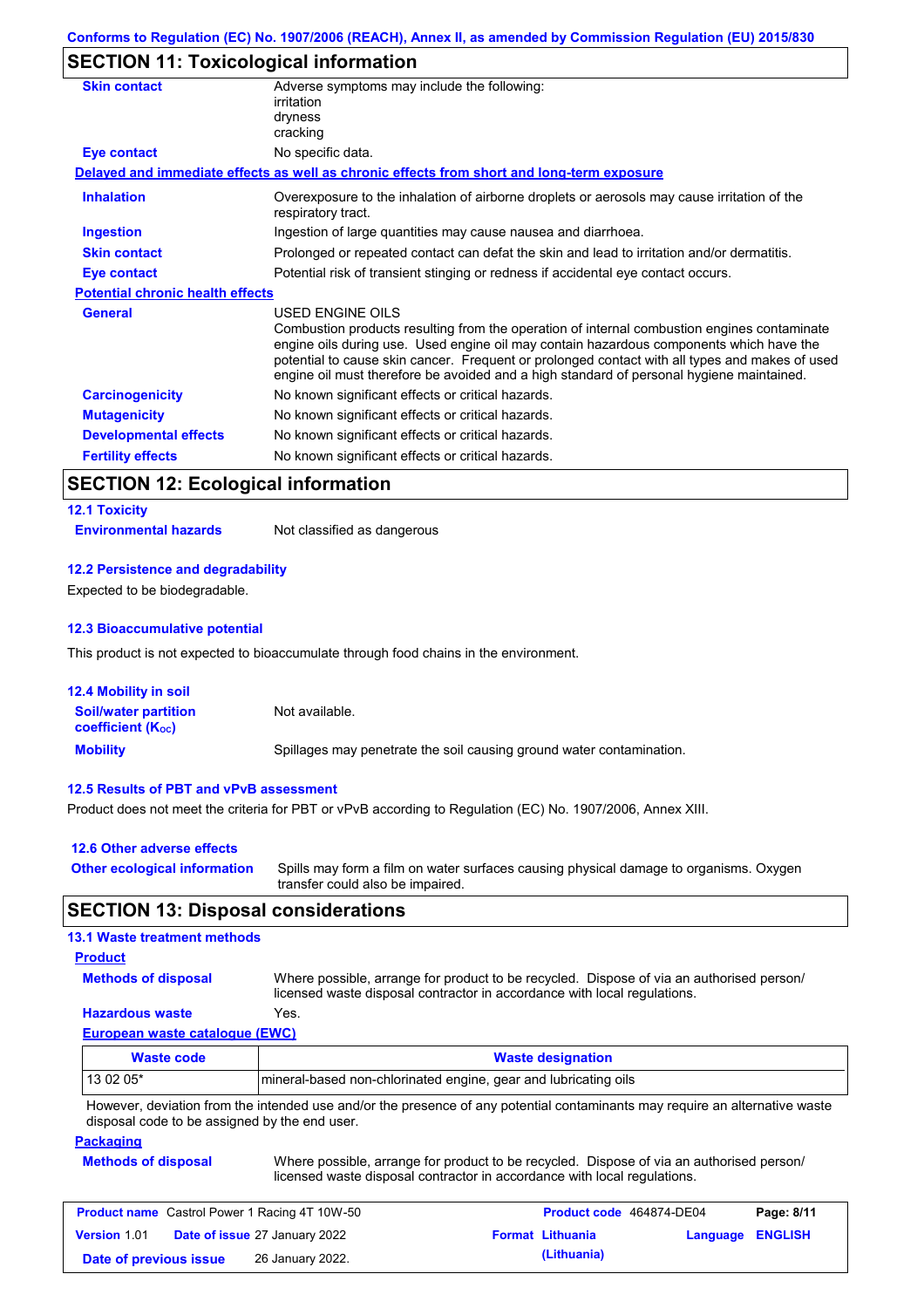# **SECTION 11: Toxicological information**

| <b>Skin contact</b>                     | Adverse symptoms may include the following:<br>irritation<br>dryness<br>cracking                                                                                                                                                                                                                                                                                                                                |
|-----------------------------------------|-----------------------------------------------------------------------------------------------------------------------------------------------------------------------------------------------------------------------------------------------------------------------------------------------------------------------------------------------------------------------------------------------------------------|
| Eye contact                             | No specific data.                                                                                                                                                                                                                                                                                                                                                                                               |
|                                         | Delayed and immediate effects as well as chronic effects from short and long-term exposure                                                                                                                                                                                                                                                                                                                      |
| <b>Inhalation</b>                       | Overexposure to the inhalation of airborne droplets or aerosols may cause irritation of the<br>respiratory tract.                                                                                                                                                                                                                                                                                               |
| <b>Ingestion</b>                        | Ingestion of large quantities may cause nausea and diarrhoea.                                                                                                                                                                                                                                                                                                                                                   |
| <b>Skin contact</b>                     | Prolonged or repeated contact can defat the skin and lead to irritation and/or dermatitis.                                                                                                                                                                                                                                                                                                                      |
| <b>Eye contact</b>                      | Potential risk of transient stinging or redness if accidental eye contact occurs.                                                                                                                                                                                                                                                                                                                               |
| <b>Potential chronic health effects</b> |                                                                                                                                                                                                                                                                                                                                                                                                                 |
| <b>General</b>                          | <b>USED ENGINE OILS</b><br>Combustion products resulting from the operation of internal combustion engines contaminate<br>engine oils during use. Used engine oil may contain hazardous components which have the<br>potential to cause skin cancer. Frequent or prolonged contact with all types and makes of used<br>engine oil must therefore be avoided and a high standard of personal hygiene maintained. |
| <b>Carcinogenicity</b>                  | No known significant effects or critical hazards.                                                                                                                                                                                                                                                                                                                                                               |
| <b>Mutagenicity</b>                     | No known significant effects or critical hazards.                                                                                                                                                                                                                                                                                                                                                               |
| <b>Developmental effects</b>            | No known significant effects or critical hazards.                                                                                                                                                                                                                                                                                                                                                               |
| <b>Fertility effects</b>                | No known significant effects or critical hazards.                                                                                                                                                                                                                                                                                                                                                               |
|                                         |                                                                                                                                                                                                                                                                                                                                                                                                                 |

# **SECTION 12: Ecological information**

# **12.1 Toxicity**

**Environmental hazards** Not classified as dangerous

#### **12.2 Persistence and degradability**

Expected to be biodegradable.

#### **12.3 Bioaccumulative potential**

This product is not expected to bioaccumulate through food chains in the environment.

| <b>12.4 Mobility in soil</b>                            |                                                                      |
|---------------------------------------------------------|----------------------------------------------------------------------|
| <b>Soil/water partition</b><br><b>coefficient (Koc)</b> | Not available.                                                       |
| <b>Mobility</b>                                         | Spillages may penetrate the soil causing ground water contamination. |

#### **12.5 Results of PBT and vPvB assessment**

Product does not meet the criteria for PBT or vPvB according to Regulation (EC) No. 1907/2006, Annex XIII.

| 12.6 Other adverse effects          |                                                                                                                           |
|-------------------------------------|---------------------------------------------------------------------------------------------------------------------------|
| <b>Other ecological information</b> | Spills may form a film on water surfaces causing physical damage to organisms. Oxygen<br>transfer could also be impaired. |

## **SECTION 13: Disposal considerations**

#### **13.1 Waste treatment methods**

#### **Product**

**Methods of disposal**

Where possible, arrange for product to be recycled. Dispose of via an authorised person/ licensed waste disposal contractor in accordance with local regulations.

### **Hazardous waste** Yes.

**European waste catalogue (EWC)**

| Waste code | <b>Waste designation</b>                                                                                                    |
|------------|-----------------------------------------------------------------------------------------------------------------------------|
| $130205*$  | Imineral-based non-chlorinated engine, gear and lubricating oils                                                            |
|            | However, deviation from the intended use and/or the presence of any potential contaminants may require an alternative waste |

However, deviation from the intended use and/or the presence of any potential contaminants may require an alternative waste disposal code to be assigned by the end user.

#### **Packaging**

| <b>Methods of disposal</b> | Where possible, arrange for product to be recycled. Dispose of via an authorised person/ |
|----------------------------|------------------------------------------------------------------------------------------|
|                            | licensed waste disposal contractor in accordance with local regulations.                 |

| <b>Product name</b> Castrol Power 1 Racing 4T 10W-50 |  |                                      | <b>Product code</b> 464874-DE04 |                         | Page: 8/11       |  |
|------------------------------------------------------|--|--------------------------------------|---------------------------------|-------------------------|------------------|--|
| <b>Version 1.01</b>                                  |  | <b>Date of issue 27 January 2022</b> |                                 | <b>Format Lithuania</b> | Language ENGLISH |  |
| Date of previous issue                               |  | 26 January 2022.                     |                                 | (Lithuania)             |                  |  |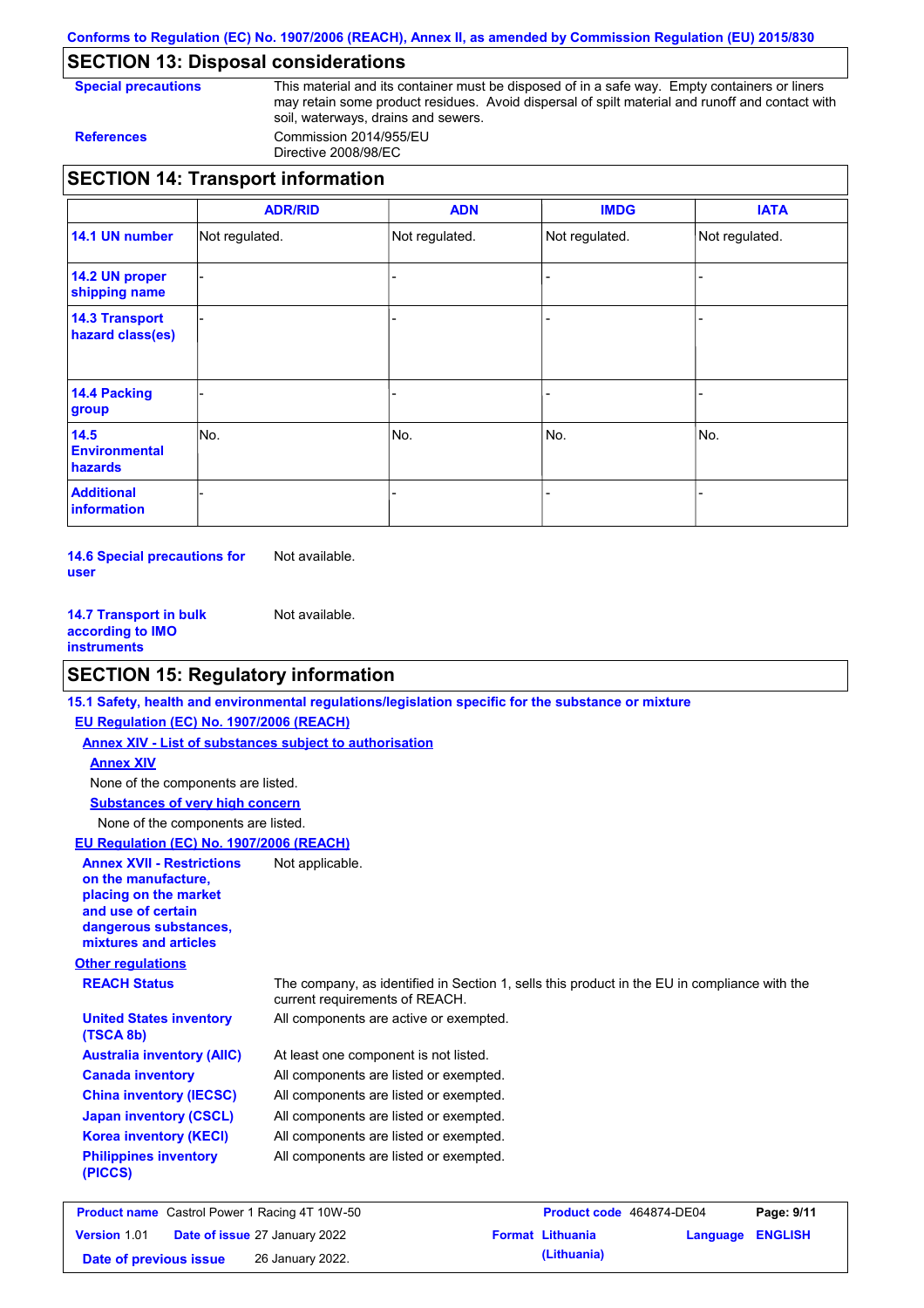**Conforms to Regulation (EC) No. 1907/2006 (REACH), Annex II, as amended by Commission Regulation (EU) 2015/830**

# **SECTION 13: Disposal considerations**

**Special precautions** This material and its container must be disposed of in a safe way. Empty containers or liners may retain some product residues. Avoid dispersal of spilt material and runoff and contact with soil, waterways, drains and sewers. **References** Commission 2014/955/EU

Directive 2008/98/EC

|                                           | <b>ADR/RID</b> | <b>ADN</b>     | <b>IMDG</b>    | <b>IATA</b>    |
|-------------------------------------------|----------------|----------------|----------------|----------------|
| 14.1 UN number                            | Not regulated. | Not regulated. | Not regulated. | Not regulated. |
| 14.2 UN proper<br>shipping name           |                |                |                |                |
| <b>14.3 Transport</b><br>hazard class(es) |                |                |                |                |
| 14.4 Packing<br>group                     |                |                |                |                |
| 14.5<br><b>Environmental</b><br>hazards   | No.            | No.            | No.            | No.            |
| <b>Additional</b><br>information          |                |                |                |                |

**14.6 Special precautions for user** Not available.

**14.7 Transport in bulk according to IMO instruments** Not available.

# **SECTION 15: Regulatory information**

|                                                                                                                                                          | 15.1 Safety, health and environmental regulations/legislation specific for the substance or mixture                            |
|----------------------------------------------------------------------------------------------------------------------------------------------------------|--------------------------------------------------------------------------------------------------------------------------------|
| EU Regulation (EC) No. 1907/2006 (REACH)                                                                                                                 |                                                                                                                                |
| <b>Annex XIV - List of substances subject to authorisation</b>                                                                                           |                                                                                                                                |
| <b>Annex XIV</b>                                                                                                                                         |                                                                                                                                |
| None of the components are listed.                                                                                                                       |                                                                                                                                |
| <b>Substances of very high concern</b>                                                                                                                   |                                                                                                                                |
| None of the components are listed.                                                                                                                       |                                                                                                                                |
| EU Regulation (EC) No. 1907/2006 (REACH)                                                                                                                 |                                                                                                                                |
| <b>Annex XVII - Restrictions</b><br>on the manufacture.<br>placing on the market<br>and use of certain<br>dangerous substances,<br>mixtures and articles | Not applicable.                                                                                                                |
| <b>Other regulations</b>                                                                                                                                 |                                                                                                                                |
| <b>REACH Status</b>                                                                                                                                      | The company, as identified in Section 1, sells this product in the EU in compliance with the<br>current requirements of REACH. |
| <b>United States inventory</b><br>(TSCA 8b)                                                                                                              | All components are active or exempted.                                                                                         |
| <b>Australia inventory (AIIC)</b>                                                                                                                        | At least one component is not listed.                                                                                          |
| <b>Canada inventory</b>                                                                                                                                  | All components are listed or exempted.                                                                                         |
| <b>China inventory (IECSC)</b>                                                                                                                           | All components are listed or exempted.                                                                                         |
| <b>Japan inventory (CSCL)</b>                                                                                                                            | All components are listed or exempted.                                                                                         |
| <b>Korea inventory (KECI)</b>                                                                                                                            | All components are listed or exempted.                                                                                         |
| <b>Philippines inventory</b><br>(PICCS)                                                                                                                  | All components are listed or exempted.                                                                                         |
|                                                                                                                                                          |                                                                                                                                |

| <b>Product name</b> Castrol Power 1 Racing 4T 10W-50 |  |                                      | Product code 464874-DE04 |                         | Page: 9/11       |  |
|------------------------------------------------------|--|--------------------------------------|--------------------------|-------------------------|------------------|--|
| <b>Version 1.01</b>                                  |  | <b>Date of issue 27 January 2022</b> |                          | <b>Format Lithuania</b> | Language ENGLISH |  |
| Date of previous issue                               |  | 26 January 2022.                     |                          | (Lithuania)             |                  |  |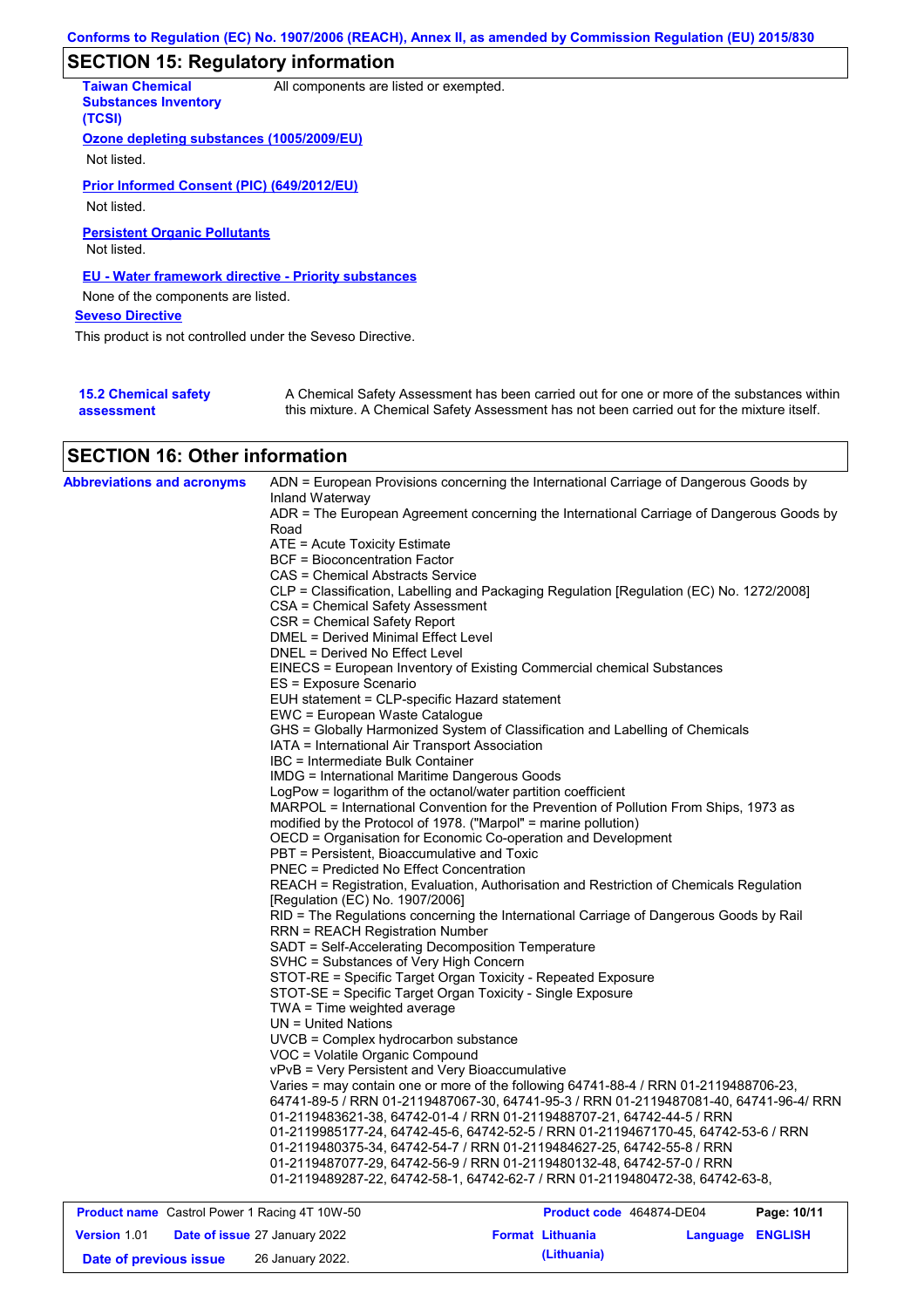# **SECTION 15: Regulatory information**

| <b>Taiwan Chemical</b><br><b>Substances Inventory</b><br>(TCSI) | All components are listed or exempted.                                                                                                                                                    |
|-----------------------------------------------------------------|-------------------------------------------------------------------------------------------------------------------------------------------------------------------------------------------|
| Ozone depleting substances (1005/2009/EU)                       |                                                                                                                                                                                           |
| Not listed.                                                     |                                                                                                                                                                                           |
| Prior Informed Consent (PIC) (649/2012/EU)                      |                                                                                                                                                                                           |
| Not listed.                                                     |                                                                                                                                                                                           |
| <b>Persistent Organic Pollutants</b><br>Not listed.             |                                                                                                                                                                                           |
| EU - Water framework directive - Priority substances            |                                                                                                                                                                                           |
| None of the components are listed.                              |                                                                                                                                                                                           |
| <b>Seveso Directive</b>                                         |                                                                                                                                                                                           |
| This product is not controlled under the Seveso Directive.      |                                                                                                                                                                                           |
|                                                                 |                                                                                                                                                                                           |
| <b>15.2 Chemical safety</b><br>assessment                       | A Chemical Safety Assessment has been carried out for one or more of the substances within<br>this mixture. A Chemical Safety Assessment has not been carried out for the mixture itself. |

# **SECTION 16: Other information**

| <b>Abbreviations and acronyms</b> | ADN = European Provisions concerning the International Carriage of Dangerous Goods by<br>Inland Waterway                                                                      |
|-----------------------------------|-------------------------------------------------------------------------------------------------------------------------------------------------------------------------------|
|                                   | ADR = The European Agreement concerning the International Carriage of Dangerous Goods by                                                                                      |
|                                   | Road                                                                                                                                                                          |
|                                   | ATE = Acute Toxicity Estimate                                                                                                                                                 |
|                                   | <b>BCF = Bioconcentration Factor</b>                                                                                                                                          |
|                                   | CAS = Chemical Abstracts Service                                                                                                                                              |
|                                   | CLP = Classification, Labelling and Packaging Regulation [Regulation (EC) No. 1272/2008]                                                                                      |
|                                   | CSA = Chemical Safety Assessment                                                                                                                                              |
|                                   | CSR = Chemical Safety Report                                                                                                                                                  |
|                                   | DMEL = Derived Minimal Effect Level                                                                                                                                           |
|                                   | DNEL = Derived No Effect Level                                                                                                                                                |
|                                   | EINECS = European Inventory of Existing Commercial chemical Substances<br>ES = Exposure Scenario                                                                              |
|                                   | EUH statement = CLP-specific Hazard statement                                                                                                                                 |
|                                   | EWC = European Waste Catalogue                                                                                                                                                |
|                                   | GHS = Globally Harmonized System of Classification and Labelling of Chemicals                                                                                                 |
|                                   | IATA = International Air Transport Association                                                                                                                                |
|                                   | IBC = Intermediate Bulk Container                                                                                                                                             |
|                                   | <b>IMDG</b> = International Maritime Dangerous Goods                                                                                                                          |
|                                   | LogPow = logarithm of the octanol/water partition coefficient                                                                                                                 |
|                                   | MARPOL = International Convention for the Prevention of Pollution From Ships, 1973 as                                                                                         |
|                                   | modified by the Protocol of 1978. ("Marpol" = marine pollution)                                                                                                               |
|                                   | OECD = Organisation for Economic Co-operation and Development                                                                                                                 |
|                                   | PBT = Persistent, Bioaccumulative and Toxic                                                                                                                                   |
|                                   | <b>PNEC = Predicted No Effect Concentration</b>                                                                                                                               |
|                                   | REACH = Registration, Evaluation, Authorisation and Restriction of Chemicals Regulation                                                                                       |
|                                   | [Regulation (EC) No. 1907/2006]                                                                                                                                               |
|                                   | RID = The Regulations concerning the International Carriage of Dangerous Goods by Rail                                                                                        |
|                                   | <b>RRN = REACH Registration Number</b>                                                                                                                                        |
|                                   | SADT = Self-Accelerating Decomposition Temperature                                                                                                                            |
|                                   | SVHC = Substances of Very High Concern                                                                                                                                        |
|                                   | STOT-RE = Specific Target Organ Toxicity - Repeated Exposure                                                                                                                  |
|                                   | STOT-SE = Specific Target Organ Toxicity - Single Exposure                                                                                                                    |
|                                   | TWA = Time weighted average                                                                                                                                                   |
|                                   | $UN = United Nations$                                                                                                                                                         |
|                                   | UVCB = Complex hydrocarbon substance                                                                                                                                          |
|                                   | VOC = Volatile Organic Compound                                                                                                                                               |
|                                   | vPvB = Very Persistent and Very Bioaccumulative                                                                                                                               |
|                                   | Varies = may contain one or more of the following 64741-88-4 / RRN 01-2119488706-23,<br>64741-89-5 / RRN 01-2119487067-30, 64741-95-3 / RRN 01-2119487081-40, 64741-96-4/ RRN |
|                                   | 01-2119483621-38, 64742-01-4 / RRN 01-2119488707-21, 64742-44-5 / RRN                                                                                                         |
|                                   | 01-2119985177-24, 64742-45-6, 64742-52-5 / RRN 01-2119467170-45, 64742-53-6 / RRN                                                                                             |
|                                   | 01-2119480375-34, 64742-54-7 / RRN 01-2119484627-25, 64742-55-8 / RRN                                                                                                         |
|                                   | 01-2119487077-29, 64742-56-9 / RRN 01-2119480132-48, 64742-57-0 / RRN                                                                                                         |
|                                   | 01-2119489287-22, 64742-58-1, 64742-62-7 / RRN 01-2119480472-38, 64742-63-8,                                                                                                  |
|                                   |                                                                                                                                                                               |

| <b>Product name</b> Castrol Power 1 Racing 4T 10W-50 |  |                                      | Product code 464874-DE04 |                         | Page: 10/11             |  |
|------------------------------------------------------|--|--------------------------------------|--------------------------|-------------------------|-------------------------|--|
| <b>Version 1.01</b>                                  |  | <b>Date of issue 27 January 2022</b> |                          | <b>Format Lithuania</b> | <b>Language ENGLISH</b> |  |
| Date of previous issue                               |  | 26 January 2022.                     |                          | (Lithuania)             |                         |  |